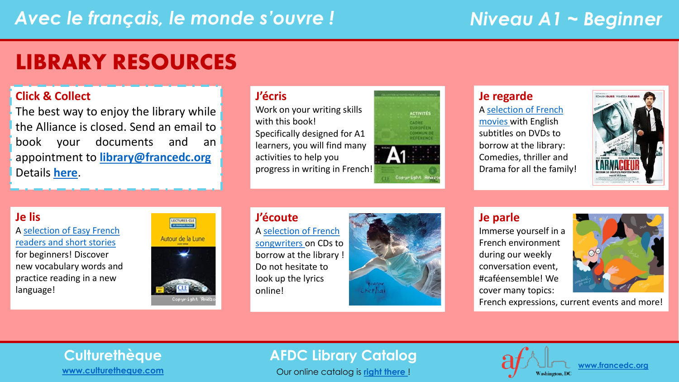## LIBRARY RESOURCES

### **Click & Collect**

The best way to enjoy the library while the Alliance is closed. Send an email to book your documents and an appointment to **[library@francedc.org](mailto:library@francedc.org)** Details **[here](https://francedc.org/Click_and_Collect_Service)**.

### **J'écris**

Work on your writing skills with this book! Specifically designed for A1 learners, you will find many activities to help you progress in writing in French!



### **Je regarde**

A [selection of French](https://librarycatalog.francedc.org/index.php?lvl=cmspage&pageid=6&id_rubrique=107)  [movies](https://librarycatalog.francedc.org/index.php?lvl=cmspage&pageid=6&id_rubrique=107) with English subtitles on DVDs to borrow at the library: Comedies, thriller and Drama for all the family!



### **Je lis**

[A selection of Easy French](https://librarycatalog.francedc.org/index.php?lvl=cmspage&pageid=6&id_rubrique=108) readers and short stories for beginners! Discover new vocabulary words and practice reading in a new language!



#### **J'écoute** A [selection of French](https://librarycatalog.francedc.org/index.php?lvl=cmspage&pageid=6&id_rubrique=106) [songwriters](https://librarycatalog.francedc.org/index.php?lvl=cmspage&pageid=6&id_rubrique=106) on CDs to borrow at the library ! Do not hesitate to look up the lyrics online!



### **Je parle**

Immerse yourself in a French environment during our weekly conversation event, #caféensemble! We cover many topics:

French expressions, current events and more!

# **[www.culturetheque.com](https://www.culturetheque.com/US/accueil-portal.aspx)**

### **Culturethèque AFDC Library Catalog**

Our online catalog is **[right there](http://librarycatalog.francedc.org/opac/)** !